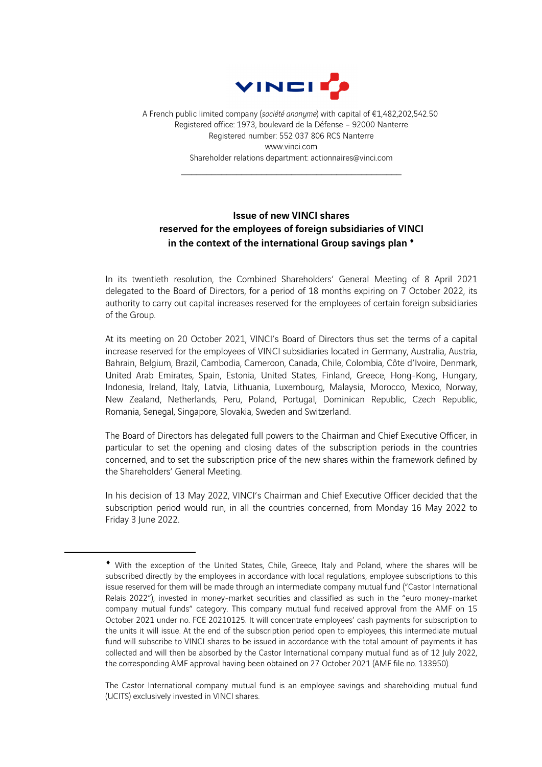

A French public limited company (*société anonyme*) with capital of €1,482,202,542.50 Registered office: 1973, boulevard de la Défense – 92000 Nanterre Registered number: 552 037 806 RCS Nanterre www.vinci.com Shareholder relations department: actionnaires@vinci.com

\_\_\_\_\_\_\_\_\_\_\_\_\_\_\_\_\_\_\_\_\_\_\_\_\_\_\_\_\_\_\_\_\_\_\_\_\_\_\_\_\_\_\_\_

## Issue of new VINCI shares reserved for the employees of foreign subsidiaries of VINCI in the context of the international Group savings plan [♦](#page-0-0)

In its twentieth resolution, the Combined Shareholders' General Meeting of 8 April 2021 delegated to the Board of Directors, for a period of 18 months expiring on 7 October 2022, its authority to carry out capital increases reserved for the employees of certain foreign subsidiaries of the Group.

At its meeting on 20 October 2021, VINCI's Board of Directors thus set the terms of a capital increase reserved for the employees of VINCI subsidiaries located in Germany, Australia, Austria, Bahrain, Belgium, Brazil, Cambodia, Cameroon, Canada, Chile, Colombia, Côte d'Ivoire, Denmark, United Arab Emirates, Spain, Estonia, United States, Finland, Greece, Hong-Kong, Hungary, Indonesia, Ireland, Italy, Latvia, Lithuania, Luxembourg, Malaysia, Morocco, Mexico, Norway, New Zealand, Netherlands, Peru, Poland, Portugal, Dominican Republic, Czech Republic, Romania, Senegal, Singapore, Slovakia, Sweden and Switzerland.

The Board of Directors has delegated full powers to the Chairman and Chief Executive Officer, in particular to set the opening and closing dates of the subscription periods in the countries concerned, and to set the subscription price of the new shares within the framework defined by the Shareholders' General Meeting.

In his decision of 13 May 2022, VINCI's Chairman and Chief Executive Officer decided that the subscription period would run, in all the countries concerned, from Monday 16 May 2022 to Friday 3 June 2022.

The Castor International company mutual fund is an employee savings and shareholding mutual fund (UCITS) exclusively invested in VINCI shares.

<span id="page-0-0"></span><sup>♦</sup> With the exception of the United States, Chile, Greece, Italy and Poland, where the shares will be subscribed directly by the employees in accordance with local regulations, employee subscriptions to this issue reserved for them will be made through an intermediate company mutual fund ("Castor International Relais 2022"), invested in money-market securities and classified as such in the "euro money-market company mutual funds" category. This company mutual fund received approval from the AMF on 15 October 2021 under no. FCE 20210125. It will concentrate employees' cash payments for subscription to the units it will issue. At the end of the subscription period open to employees, this intermediate mutual fund will subscribe to VINCI shares to be issued in accordance with the total amount of payments it has collected and will then be absorbed by the Castor International company mutual fund as of 12 July 2022, the corresponding AMF approval having been obtained on 27 October 2021 (AMF file no. 133950).